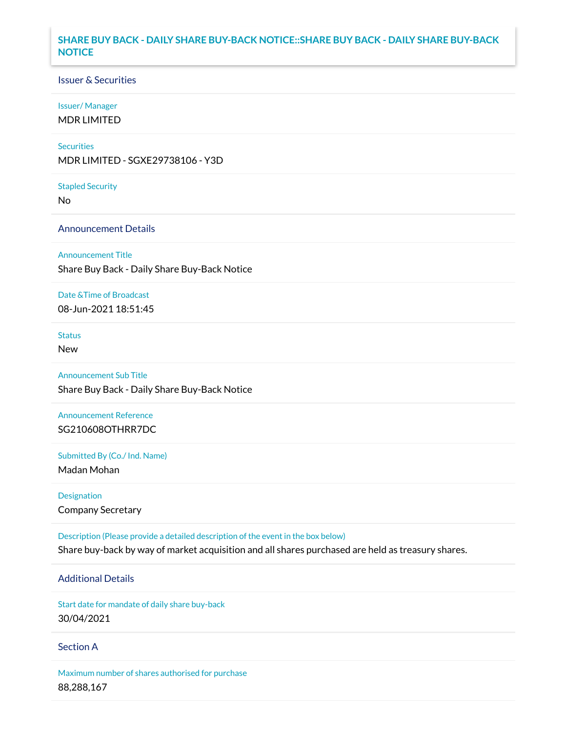# **SHARE BUY BACK - DAILY SHARE BUY-BACK NOTICE::SHARE BUY BACK - DAILY SHARE BUY-BACK NOTICE**

### Issuer & Securities

#### Issuer/ Manager

MDR LIMITED

#### **Securities**

MDR LIMITED - SGXE29738106 - Y3D

#### Stapled Security

No

## Announcement Details

#### Announcement Title

Share Buy Back - Daily Share Buy-Back Notice

#### Date &Time of Broadcast

08-Jun-2021 18:51:45

# Status

New

# Announcement Sub Title

Share Buy Back - Daily Share Buy-Back Notice

## Announcement Reference SG210608OTHRR7DC

Submitted By (Co./ Ind. Name)

Madan Mohan

# Designation Company Secretary

Description (Please provide a detailed description of the event in the box below)

# Share buy-back by way of market acquisition and all shares purchased are held as treasury shares.

# Additional Details

Start date for mandate of daily share buy-back 30/04/2021

### Section A

Maximum number of shares authorised for purchase 88,288,167